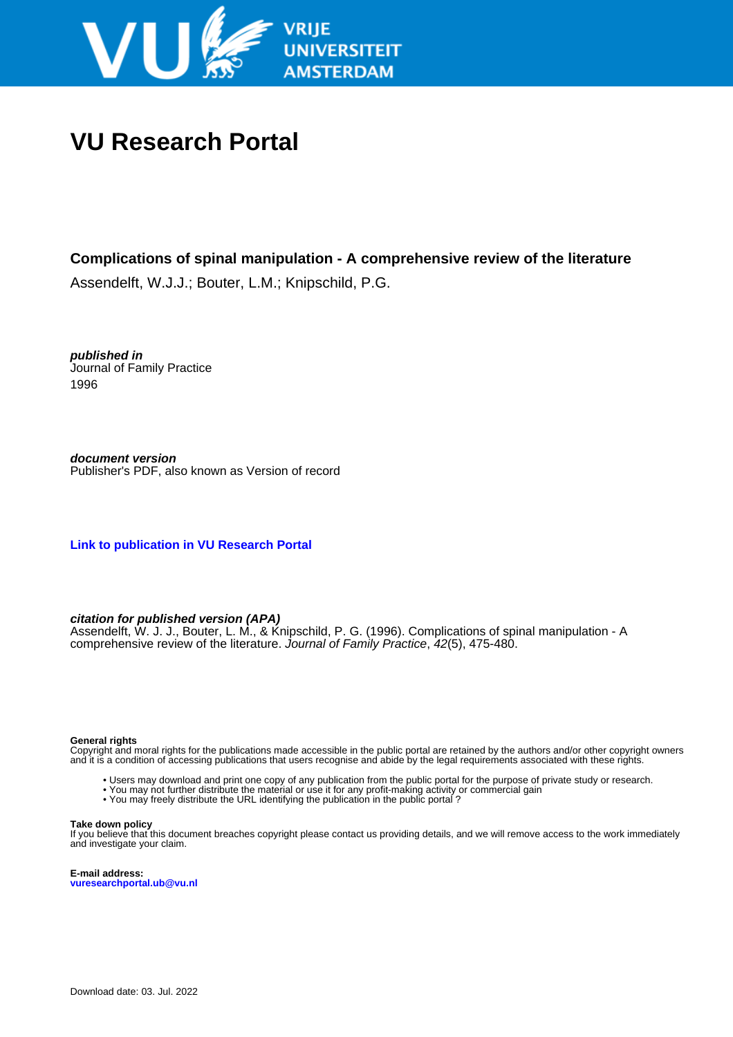

# **VU Research Portal**

## **Complications of spinal manipulation - A comprehensive review of the literature**

Assendelft, W.J.J.; Bouter, L.M.; Knipschild, P.G.

**published in** Journal of Family Practice 1996

**document version** Publisher's PDF, also known as Version of record

**[Link to publication in VU Research Portal](https://research.vu.nl/en/publications/ac73a9ce-9f7c-4e2c-85d6-1db416ad5bc0)**

### **citation for published version (APA)**

Assendelft, W. J. J., Bouter, L. M., & Knipschild, P. G. (1996). Complications of spinal manipulation - A comprehensive review of the literature. Journal of Family Practice, 42(5), 475-480.

#### **General rights**

Copyright and moral rights for the publications made accessible in the public portal are retained by the authors and/or other copyright owners and it is a condition of accessing publications that users recognise and abide by the legal requirements associated with these rights.

- Users may download and print one copy of any publication from the public portal for the purpose of private study or research.
- You may not further distribute the material or use it for any profit-making activity or commercial gain
- You may freely distribute the URL identifying the publication in the public portal ?

#### **Take down policy**

If you believe that this document breaches copyright please contact us providing details, and we will remove access to the work immediately and investigate your claim.

**E-mail address: vuresearchportal.ub@vu.nl**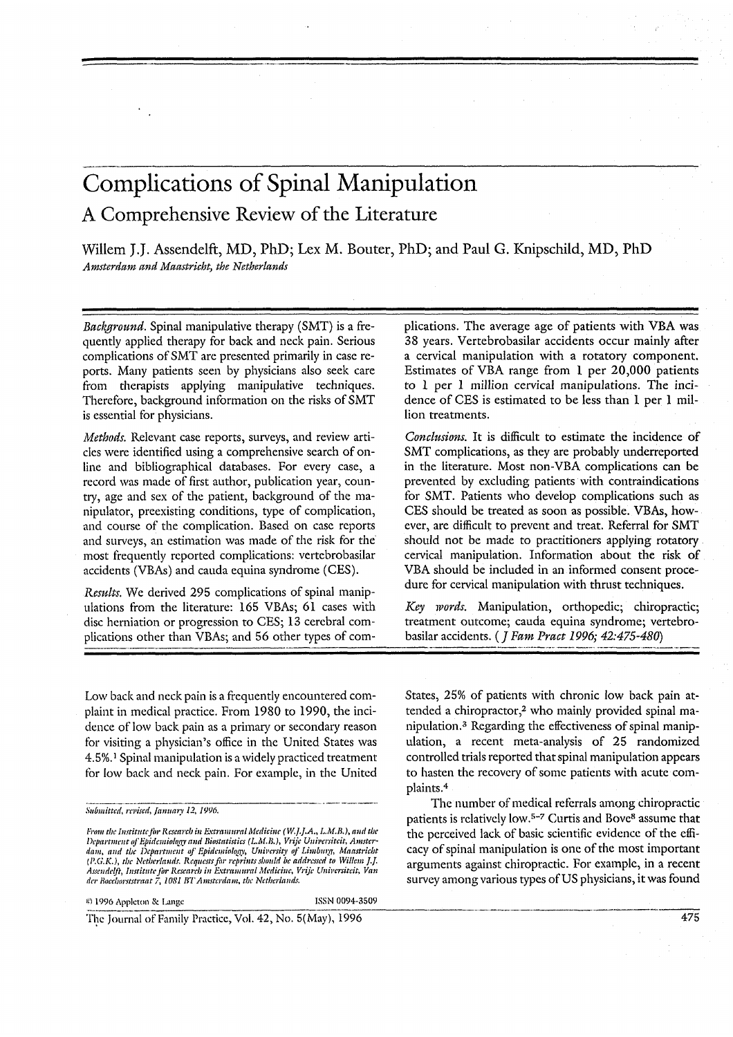# Complications of Spinal Manipulation A Comprehensive Review of the Literature

Willem J.J. Assendelft, MD, PhD; Lex M. Bouter, PhD; and Paul G. Knipschild, MD, PhD Amsterdam and Maastricht, the Netherlands

Background. Spinal manipulative therapy (SMT) is a frequently applied therapy for back and neck pain. Serious complications of SMT are presented primarily in case reports. Many patients seen by physicians also seek care from therapists applying manipulative techniques. Therefore, background information on the risks of SMT is essential for physicians.

Methods. Relevant case reports, surveys, and review articles were identified using a comprehensive search of online and bibliographical databases. For every case, a record was made of first author, publication year, country, age and sex of the patient, background of the manipulator, preexisting conditions, type of complication, and course of the complication. Based on case reports and surveys, an estimation was made of the risk for the most frequently reported complications: vertebrobasilar accidents (VBAs) and cauda equina syndrome (CES).

Results. We derived 295 complications of spinal manipulations from the literature: 165 VBAs; 61 cases with disc herniation or progression to CES; 13 cerebral complications other than VBAs; and 56 other types of complications. The average age of patients with VBA was 38 years. Vertebrobasilar accidents occur mainly after a cervical manipulation with a rotatory component. Estimates of VBA range from 1 per 20,000 patients to 1 per 1 million cervical manipulations. The incidence of CES is estimated to be less than 1 per 1 million treatments.

Conclusions. It is difficult to estimate the incidence of SMT complications, as they are probably underreported in the literature. Most non-VBA complications can be prevented by excluding patients with contraindications for SMT. Patients who develop complications such as CES should be treated as soon as possible. VBAs, however, are difficult to prevent and treat. Referral for SMT should not be made to practitioners applying rotatory cervical manipulation. Information about the risk of VBA should be included in an informed consent procedure for cervical manipulation with thrust techniques.

Key words. Manipulation, orthopedic; chiropractic; treatment outcome; cauda equina syndrome; vertebrobasilar accidents. (*J Fam Pract 1996*; 42:475-480)

Low back and neck pain is a frequently encountered complaint in medical practice. From 1980 to 1990, the incidence of low back pain as a primary or secondary reason for visiting a physician's office in the United States was 4.5%.<sup>1</sup> Spinal manipulation is a widely practiced treatment for low back and neck pain. For example, in the United

From the Institute for Research in Extramural Medicine (W.J.J.A., L.M.B.), and the<br>Department of Epidemiology and Biostatistics (L.M.B.), Vrije Universiteit, Amstercommunity of Differential of American Controllery, University of Limburg, Maastricht<br>(P.G.K.), the Netherlands. Requests for reprints should be addressed to Willem J.J. Assendelft, Institute for Research in Extramural Medicine, Vrije Universiteit, Van der Boechorststraat 7, 1081 BT Amsterdam, the Netherlands.

ISSN 0094-3509

States, 25% of patients with chronic low back pain attended a chiropractor,<sup>2</sup> who mainly provided spinal manipulation.<sup>3</sup> Regarding the effectiveness of spinal manipulation, a recent meta-analysis of 25 randomized controlled trials reported that spinal manipulation appears to hasten the recovery of some patients with acute complaints.<sup>4</sup>

The number of medical referrals among chiropractic patients is relatively low.<sup>5-7</sup> Curtis and Bove<sup>8</sup> assume that the perceived lack of basic scientific evidence of the efficacy of spinal manipulation is one of the most important arguments against chiropractic. For example, in a recent survey among various types of US physicians, it was found

The Journal of Family Practice, Vol. 42, No. 5(May), 1996

Submitted, revised, January 12, 1996.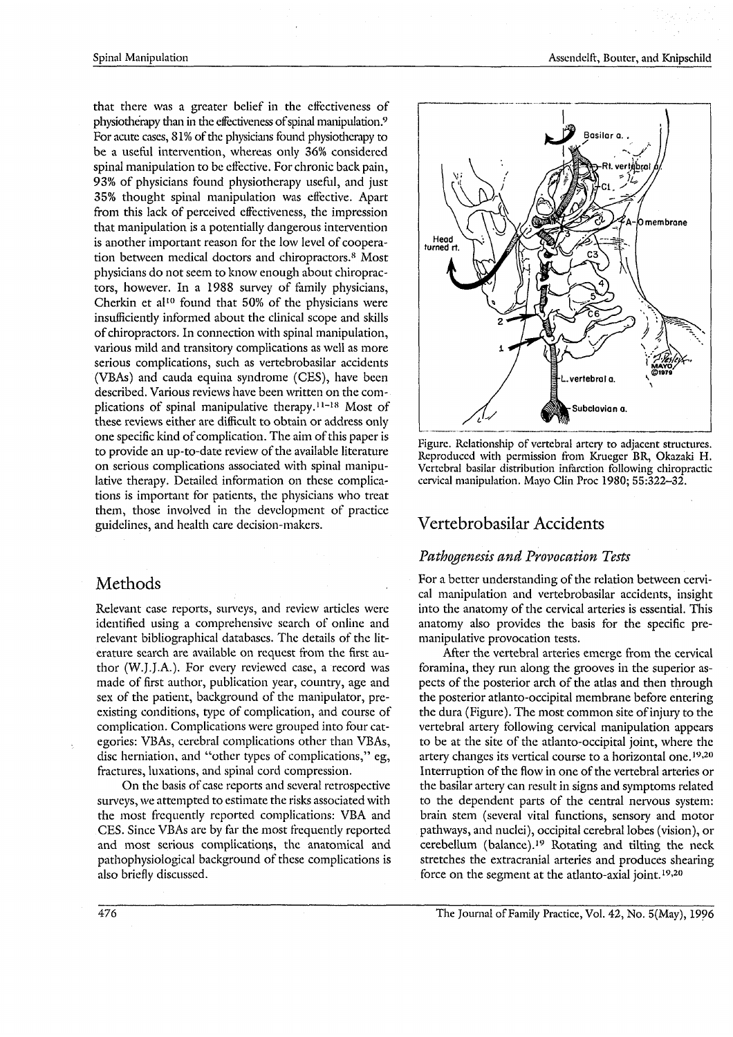that there was a greater belief in the effectiveness of physiotherapy than in the effectiveness of spinal manipulation.<sup>9</sup> For acute cases, 81% of the physicians found physiotherapy to be a useful intervention, whereas only 36% considered spinal manipulation to be effective. For chronic back pain, 93% of physicians found physiotherapy useful, and just 35% thought spinal manipulation was effective. Apart from this lack of perceived effectiveness, the impression that manipulation is a potentially dangerous intervention is another important reason for the low level of cooperation between medical doctors and chiropractors.<sup>8</sup> Most physicians do not seem to know enough about chiropractors, however. In a 1988 survey of family physicians, Cherkin et al<sup>10</sup> found that 50% of the physicians were insufficiently informed about the clinical scope and skills of chiropractors. In connection with spinal manipulation, various mild and transitory complications as well as more serious complications, such as vertebrobasilar accidents (VBAs) and cauda equina syndrome (CES), have been described. Various reviews have been written on the complications of spinal manipulative therapy.<sup>11-18</sup> Most of these reviews either are difficult to obtain or address only one specific kind of complication. The aim of this paper is to provide an up-to-date review of the available literature on serious complications associated with spinal manipulative therapy. Detailed information on these complications is important for patients, the physicians who treat them, those involved in the development of practice guidelines, and health care decision-makers.

## Methods

Relevant case reports, surveys, and review articles were identified using a comprehensive search of online and relevant bibliographical databases. The details of the literature search are available on request from the first author (W.J.J.A.). For every reviewed case, a record was made of first author, publication year, country, age and sex of the patient, background of the manipulator, preexisting conditions, type of complication, and course of complication. Complications were grouped into four categories: VBAs, cerebral complications other than VBAs, disc herniation, and "other types of complications," eg, fractures, luxations, and spinal cord compression.

On the basis of case reports and several retrospective surveys, we attempted to estimate the risks associated with the most frequently reported complications: VBA and CES. Since VBAs are by far the most frequently reported and most serious complications, the anatomical and pathophysiological background of these complications is also briefly discussed.



Figure. Relationship of vertebral artery to adjacent structures. Reproduced with permission from Krueger BR, Okazaki H. Vertebral basilar distribution infarction following chiropractic cervical manipulation. Mayo Clin Proc 1980: 55:322-32.

# Vertebrobasilar Accidents

## Pathogenesis and Provocation Tests

For a better understanding of the relation between cervical manipulation and vertebrobasilar accidents, insight into the anatomy of the cervical arteries is essential. This anatomy also provides the basis for the specific premanipulative provocation tests.

After the vertebral arteries emerge from the cervical foramina, they run along the grooves in the superior aspects of the posterior arch of the atlas and then through the posterior atlanto-occipital membrane before entering the dura (Figure). The most common site of injury to the vertebral artery following cervical manipulation appears to be at the site of the atlanto-occipital joint, where the artery changes its vertical course to a horizontal one.<sup>19,20</sup> Interruption of the flow in one of the vertebral arteries or the basilar artery can result in signs and symptoms related to the dependent parts of the central nervous system: brain stem (several vital functions, sensory and motor pathways, and nuclei), occipital cerebral lobes (vision), or cerebellum (balance).<sup>19</sup> Rotating and tilting the neck stretches the extracranial arteries and produces shearing force on the segment at the atlanto-axial joint.<sup>19,20</sup>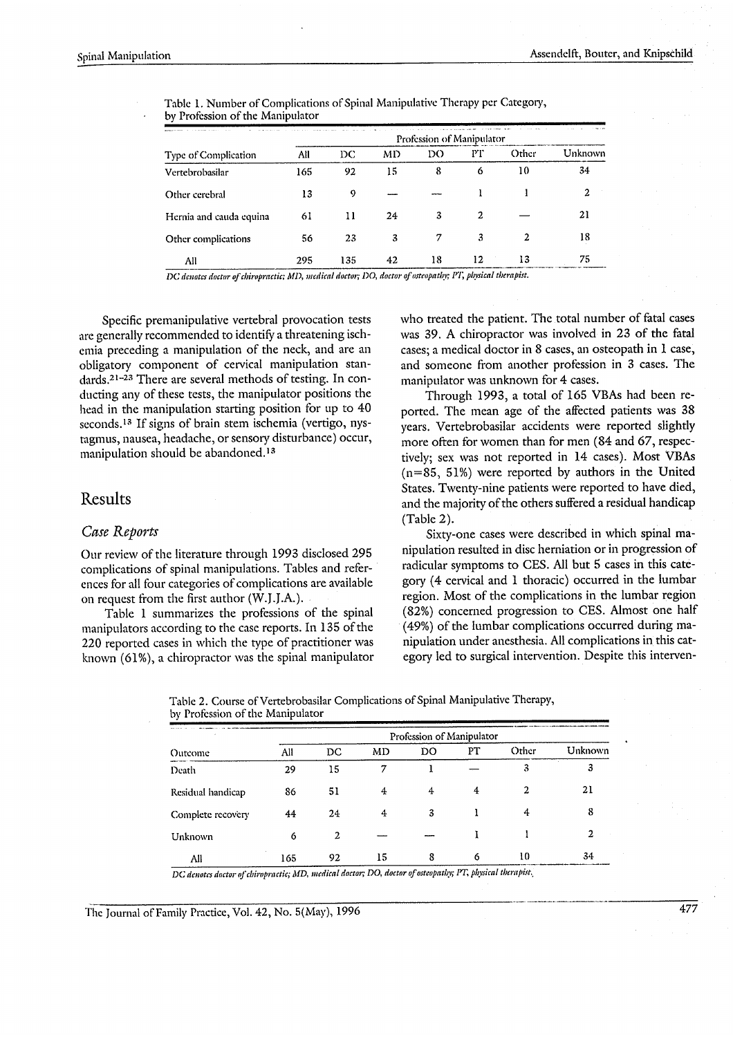| Type of Complication    | Profession of Manipulator |     |    |    |    |       |         |  |  |
|-------------------------|---------------------------|-----|----|----|----|-------|---------|--|--|
|                         | All                       | DC. | MD | DO | РT | Other | Unknown |  |  |
| Vertebrobasilar         | 165                       | 92  | 15 | 8  | 6  | 10    | 34      |  |  |
| Other cerebral          | 13                        | 9   |    |    |    |       | 2       |  |  |
| Hernia and cauda equina | 61                        | 11  | 24 | 3  | 2  |       | 21      |  |  |
| Other complications     | 56                        | 23  | 3  |    | 3  | 2     | 18      |  |  |
| All                     | 295                       | 135 | 42 | 18 | 12 | 13    | 75      |  |  |

Table 1. Number of Complications of Spinal Manipulative Therapy per Category, by Profession of the Manipulator

DC denotes doctor of chiropractic; MD, medical doctor; DO, doctor of osteopathy; PT, physical therapist.

Specific premanipulative vertebral provocation tests are generally recommended to identify a threatening ischemia preceding a manipulation of the neck, and are an obligatory component of cervical manipulation standards.<sup>21-23</sup> There are several methods of testing. In conducting any of these tests, the manipulator positions the head in the manipulation starting position for up to 40 seconds.<sup>13</sup> If signs of brain stem ischemia (vertigo, nystagmus, nausea, headache, or sensory disturbance) occur, manipulation should be abandoned.<sup>13</sup>

## Results

### Case Reports

Our review of the literature through 1993 disclosed 295 complications of spinal manipulations. Tables and references for all four categories of complications are available on request from the first author (W.J.J.A.).

Table 1 summarizes the professions of the spinal manipulators according to the case reports. In 135 of the 220 reported cases in which the type of practitioner was known  $(61\%)$ , a chiropractor was the spinal manipulator who treated the patient. The total number of fatal cases was 39. A chiropractor was involved in 23 of the fatal cases; a medical doctor in 8 cases, an osteopath in 1 case, and someone from another profession in 3 cases. The manipulator was unknown for 4 cases.

Through 1993, a total of 165 VBAs had been reported. The mean age of the affected patients was 38 years. Vertebrobasilar accidents were reported slightly more often for women than for men (84 and 67, respectively; sex was not reported in 14 cases). Most VBAs  $(n=85, 51%)$  were reported by authors in the United States. Twenty-nine patients were reported to have died, and the majority of the others suffered a residual handicap (Table 2).

Sixty-one cases were described in which spinal manipulation resulted in disc herniation or in progression of radicular symptoms to CES. All but 5 cases in this category (4 cervical and 1 thoracic) occurred in the lumbar region. Most of the complications in the lumbar region (82%) concerned progression to CES. Almost one half (49%) of the lumbar complications occurred during manipulation under anesthesia. All complications in this category led to surgical intervention. Despite this interven-

| Table 2. Course of Vertebrobasilar Complications of Spinal Manipulative Therapy, |  |
|----------------------------------------------------------------------------------|--|
| by Profession of the Manipulator                                                 |  |
|                                                                                  |  |

| Outcome           | Profession of Manipulator |    |    |    |    |       |         |  |  |  |
|-------------------|---------------------------|----|----|----|----|-------|---------|--|--|--|
|                   | All                       | DC | MD | DO | PТ | Other | Unknown |  |  |  |
| Death             | 29                        | 15 | 7  |    |    | 3     | 3       |  |  |  |
| Residual handicap | 86                        | 51 | 4  | 4  | 4  | 2     | 21      |  |  |  |
| Complete recovery | 44                        | 24 | 4  | 3  |    | 4     | 8       |  |  |  |
| Unknown           | 6                         | 2  |    |    |    |       | 2       |  |  |  |
| All               | 165                       | 92 | 15 | 8  | 6  | 10    | 34      |  |  |  |

DC denotes doctor of chiropractic; MD, medical doctor; DO, doctor of osteopathy; PT, physical therapist,

The Journal of Family Practice, Vol. 42, No. 5(May), 1996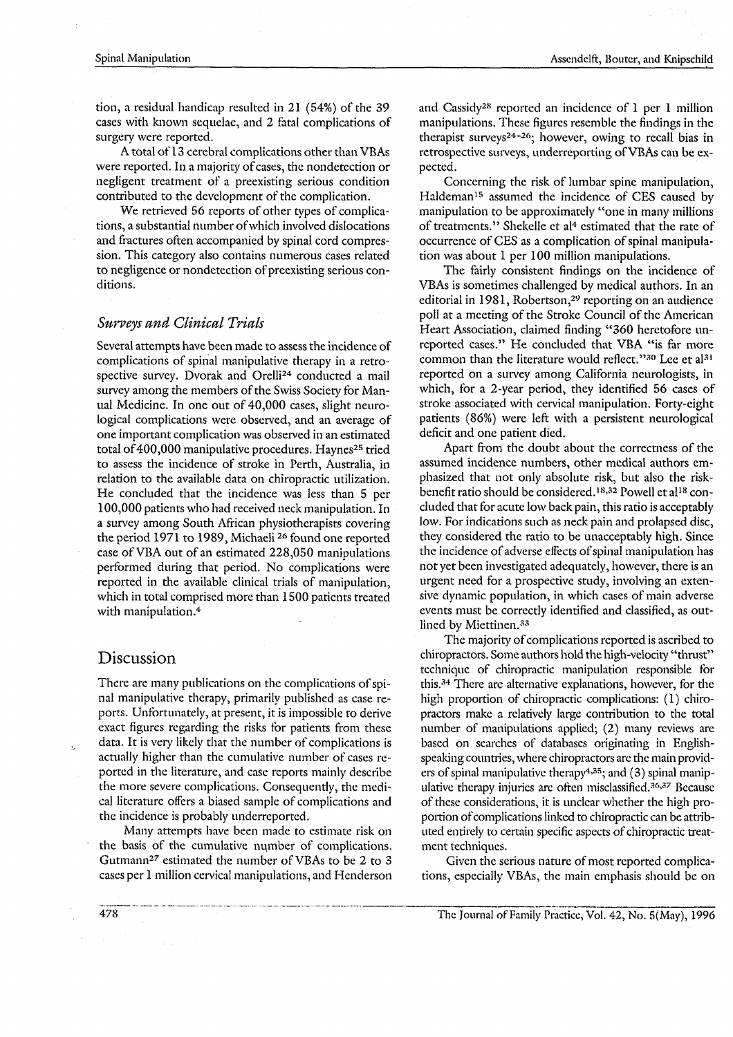tion, a residual handicap resulted in 21 (54%) of the 39 cases with known sequelae, and 2 fatal complications of surgery were reported.

A total of 13 cerebral complications other than VBAs were reported. In a majority of cases, the nondetection or negligent treatment of a preexisting serious condition contributed to the development of the complication.

We retrieved 56 reports of other types of complications, a substantial number of which involved dislocations and fractures often accompanied by spinal cord compression. This category also contains numerous cases related to negligence or nondetection of preexisting serious conditions.

## Surveys and Clinical Trials

Several attempts have been made to assess the incidence of complications of spinal manipulative therapy in a retrospective survey. Dvorak and Orelli<sup>24</sup> conducted a mail survey among the members of the Swiss Society for Manual Medicine. In one out of 40,000 cases, slight neurological complications were observed, and an average of one important complication was observed in an estimated total of 400,000 manipulative procedures. Haynes<sup>25</sup> tried to assess the incidence of stroke in Perth, Australia, in relation to the available data on chiropractic utilization. He concluded that the incidence was less than 5 per 100,000 patients who had received neck manipulation. In a survey among South African physiotherapists covering the period 1971 to 1989, Michaeli<sup>26</sup> found one reported case of VBA out of an estimated 228,050 manipulations performed during that period. No complications were reported in the available clinical trials of manipulation, which in total comprised more than 1500 patients treated with manipulation.<sup>4</sup>

## Discussion

There are many publications on the complications of spinal manipulative therapy, primarily published as case reports. Unfortunately, at present, it is impossible to derive exact figures regarding the risks for patients from these data. It is very likely that the number of complications is actually higher than the cumulative number of cases reported in the literature, and case reports mainly describe the more severe complications. Consequently, the medical literature offers a biased sample of complications and the incidence is probably underreported.

Many attempts have been made to estimate risk on the basis of the cumulative number of complications. Gutmann<sup>27</sup> estimated the number of VBAs to be 2 to 3 cases per 1 million cervical manipulations, and Henderson and Cassidy<sup>28</sup> reported an incidence of 1 per 1 million manipulations. These figures resemble the findings in the therapist surveys<sup>24-26</sup>; however, owing to recall bias in retrospective surveys, underreporting of VBAs can be expected.

Concerning the risk of lumbar spine manipulation, Haldeman<sup>15</sup> assumed the incidence of CES caused by manipulation to be approximately "one in many millions of treatments." Shekelle et al<sup>4</sup> estimated that the rate of occurrence of CES as a complication of spinal manipulation was about 1 per 100 million manipulations.

The fairly consistent findings on the incidence of VBAs is sometimes challenged by medical authors. In an editorial in 1981, Robertson,<sup>29</sup> reporting on an audience poll at a meeting of the Stroke Council of the American Heart Association, claimed finding "360 heretofore unreported cases." He concluded that VBA "is far more common than the literature would reflect."30 Lee et al<sup>31</sup> reported on a survey among California neurologists, in which, for a 2-year period, they identified 56 cases of stroke associated with cervical manipulation. Forty-eight patients (86%) were left with a persistent neurological deficit and one patient died.

Apart from the doubt about the correctness of the assumed incidence numbers, other medical authors emphasized that not only absolute risk, but also the riskbenefit ratio should be considered.<sup>18,32</sup> Powell et al<sup>18</sup> concluded that for acute low back pain, this ratio is acceptably low. For indications such as neck pain and prolapsed disc, they considered the ratio to be unacceptably high. Since the incidence of adverse effects of spinal manipulation has not yet been investigated adequately, however, there is an urgent need for a prospective study, involving an extensive dynamic population, in which cases of main adverse events must be correctly identified and classified, as outlined by Miettinen.<sup>33</sup>

The majority of complications reported is ascribed to chiropractors. Some authors hold the high-velocity "thrust" technique of chiropractic manipulation responsible for this.<sup>34</sup> There are alternative explanations, however, for the high proportion of chiropractic complications: (1) chiropractors make a relatively large contribution to the total number of manipulations applied; (2) many reviews are based on searches of databases originating in Englishspeaking countries, where chiropractors are the main providers of spinal manipulative therapy<sup>4,35</sup>; and (3) spinal manipulative therapy injuries are often misclassified.<sup>36,37</sup> Because of these considerations, it is unclear whether the high proportion of complications linked to chiropractic can be attributed entirely to certain specific aspects of chiropractic treatment techniques.

Given the serious nature of most reported complications, especially VBAs, the main emphasis should be on

The Journal of Family Practice, Vol. 42, No. 5(May), 1996

478

ÿ,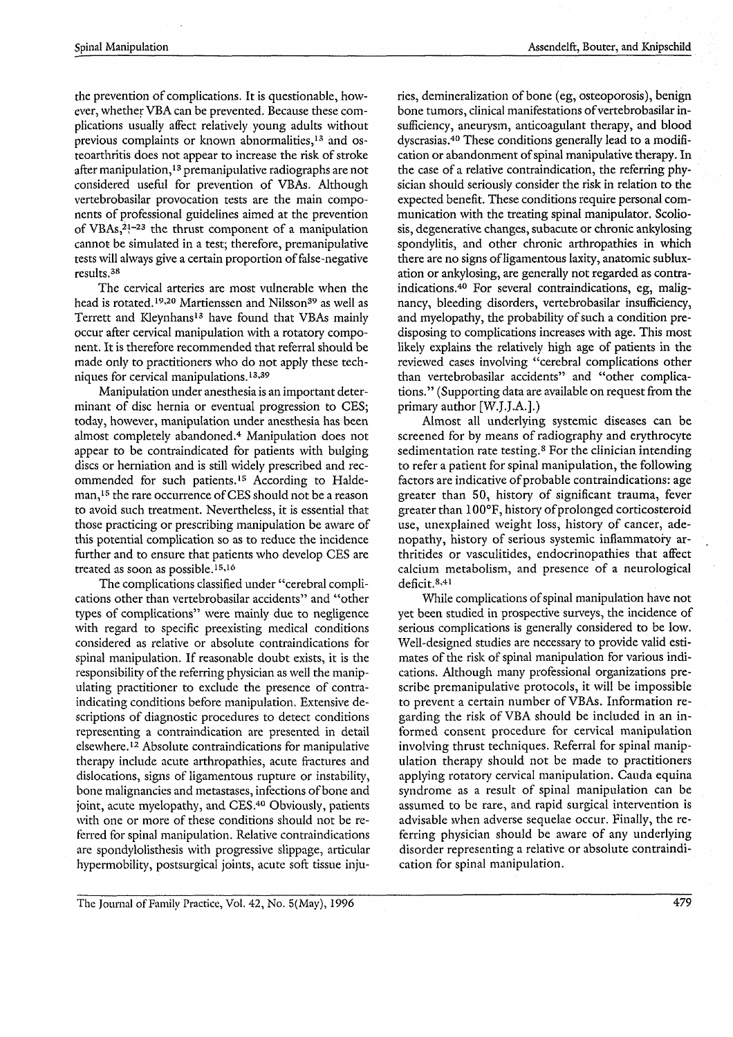the prevention of complications. It is questionable, however, whether VBA can be prevented. Because these complications usually affect relatively young adults without previous complaints or known abnormalities,<sup>13</sup> and osteoarthritis does not appear to increase the risk of stroke after manipulation,<sup>13</sup> premanipulative radiographs are not considered useful for prevention of VBAs. Although vertebrobasilar provocation tests are the main components of professional guidelines aimed at the prevention of VBAs,<sup>21-23</sup> the thrust component of a manipulation cannot be simulated in a test; therefore, premanipulative tests will always give a certain proportion of false-negative results.<sup>38</sup>

The cervical arteries are most vulnerable when the head is rotated.<sup>19,20</sup> Martienssen and Nilsson<sup>39</sup> as well as Terrett and Kleynhans<sup>13</sup> have found that VBAs mainly occur after cervical manipulation with a rotatory component. It is therefore recommended that referral should be made only to practitioners who do not apply these techniques for cervical manipulations.<sup>13,39</sup>

Manipulation under anesthesia is an important determinant of disc hernia or eventual progression to CES; today, however, manipulation under anesthesia has been almost completely abandoned.<sup>4</sup> Manipulation does not appear to be contraindicated for patients with bulging discs or herniation and is still widely prescribed and recommended for such patients.<sup>15</sup> According to Haldeman,<sup>15</sup> the rare occurrence of CES should not be a reason to avoid such treatment. Nevertheless, it is essential that those practicing or prescribing manipulation be aware of this potential complication so as to reduce the incidence further and to ensure that patients who develop CES are treated as soon as possible.<sup>15,16</sup>

The complications classified under "cerebral complications other than vertebrobasilar accidents" and "other types of complications" were mainly due to negligence with regard to specific preexisting medical conditions considered as relative or absolute contraindications for spinal manipulation. If reasonable doubt exists, it is the responsibility of the referring physician as well the manipulating practitioner to exclude the presence of contraindicating conditions before manipulation. Extensive descriptions of diagnostic procedures to detect conditions representing a contraindication are presented in detail elsewhere.<sup>12</sup> Absolute contraindications for manipulative therapy include acute arthropathies, acute fractures and dislocations, signs of ligamentous rupture or instability, bone malignancies and metastases, infections of bone and joint, acute myelopathy, and CES.<sup>40</sup> Obviously, patients with one or more of these conditions should not be referred for spinal manipulation. Relative contraindications are spondylolisthesis with progressive slippage, articular hypermobility, postsurgical joints, acute soft tissue injuries, demineralization of bone (eg, osteoporosis), benign bone tumors, clinical manifestations of vertebrobasilar insufficiency, aneurysm, anticoagulant therapy, and blood dyscrasias.<sup>40</sup> These conditions generally lead to a modification or abandonment of spinal manipulative therapy. In the case of a relative contraindication, the referring physician should seriously consider the risk in relation to the expected benefit. These conditions require personal communication with the treating spinal manipulator, Scoliosis, degenerative changes, subacute or chronic ankylosing spondylitis, and other chronic arthropathies in which there are no signs of ligamentous laxity, anatomic subluxation or ankylosing, are generally not regarded as contraindications.<sup>40</sup> For several contraindications, eg, malignancy, bleeding disorders, vertebrobasilar insufficiency, and myelopathy, the probability of such a condition predisposing to complications increases with age. This most likely explains the relatively high age of patients in the reviewed cases involving "cerebral complications other than vertebrobasilar accidents" and "other complications." (Supporting data are available on request from the primary author [W.J.J.A.].)

Almost all underlying systemic diseases can be screened for by means of radiography and erythrocyte sedimentation rate testing.<sup>8</sup> For the clinician intending to refer a patient for spinal manipulation, the following factors are indicative of probable contraindications: age greater than 50, history of significant trauma, fever greater than 100°F, history of prolonged corticosteroid use, unexplained weight loss, history of cancer, adenopathy, history of serious systemic inflammatory arthritides or vasculitides, endocrinopathies that affect calcium metabolism, and presence of a neurological deficit.<sup>8,41</sup>

While complications of spinal manipulation have not yet been studied in prospective surveys, the incidence of serious complications is generally considered to be low. Well-designed studies are necessary to provide valid estimates of the risk of spinal manipulation for various indications. Although many professional organizations prescribe premanipulative protocols, it will be impossible to prevent a certain number of VBAs. Information regarding the risk of VBA should be included in an informed consent procedure for cervical manipulation involving thrust techniques. Referral for spinal manipulation therapy should not be made to practitioners applying rotatory cervical manipulation. Cauda equina syndrome as a result of spinal manipulation can be assumed to be rare, and rapid surgical intervention is advisable when adverse sequelae occur. Finally, the referring physician should be aware of any underlying disorder representing a relative or absolute contraindication for spinal manipulation.

The Journal of Family Practice, Vol. 42, No. 5(May), 1996